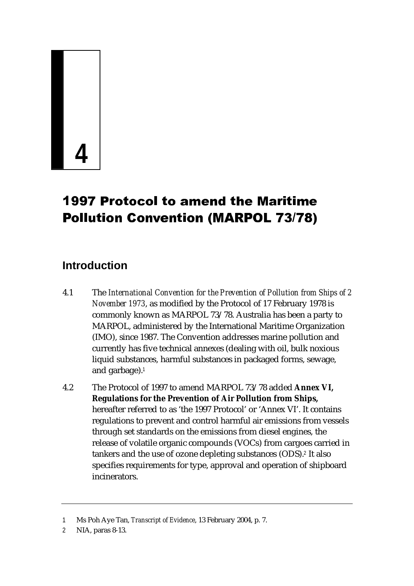# **4**

# **1997 Protocol to amend the Maritime**

# **Introduction**

- 4.1 The *International Convention for the Prevention of Pollution from Ships of 2 November 1973*, as modified by the Protocol of 17 February 1978 is commonly known as MARPOL 73/78. Australia has been a party to MARPOL, administered by the International Maritime Organization (IMO), since 1987. The Convention addresses marine pollution and currently has five technical annexes (dealing with oil, bulk noxious liquid substances, harmful substances in packaged forms, sewage, and garbage).<sup>1</sup>
- **Convention (MARPOL 73/78)**<br>
Convention for the Prevention of Pollution from S<br>
modified by the Protocol of 17 February 197<br>
as MARPOL 73/78. Australia has been a pastered by the International Martitime Organi<br>
The Convent **Conserved Alternation (Fig. 2018)**<br>The *International Convention for the Prevention of Pollution from SNovember 1973*, as modified by the Protocol of 17 February 197<br>MARPOL, administered by the International Maritime Org 4.2 The Protocol of 1997 to amend MARPOL 73/78 added **Annex VI, Regulations for the Prevention of Air Pollution from Ships,**  hereafter referred to as 'the 1997 Protocol' or 'Annex VI'. It contains regulations to prevent and control harmful air emissions from vessels through set standards on the emissions from diesel engines, the release of volatile organic compounds (VOCs) from cargoes carried in tankers and the use of ozone depleting substances (ODS).<sup>2</sup> It also specifies requirements for type, approval and operation of shipboard incinerators.

<sup>1</sup> Ms Poh Aye Tan, *Transcript of Evidence*, 13 February 2004, p. 7.

<sup>2</sup> NIA, paras 8-13.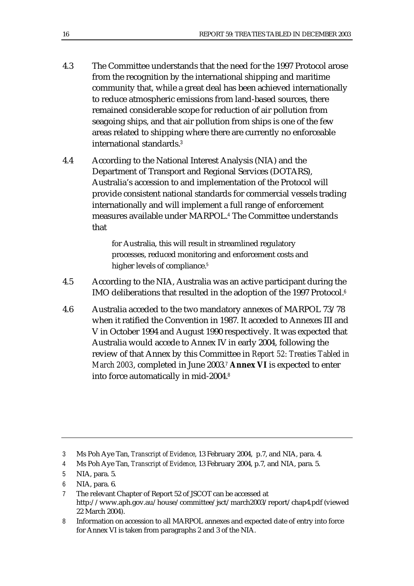- 4.3 The Committee understands that the need for the 1997 Protocol arose from the recognition by the international shipping and maritime community that, while a great deal has been achieved internationally to reduce atmospheric emissions from land-based sources, there remained considerable scope for reduction of air pollution from seagoing ships, and that air pollution from ships is one of the few areas related to shipping where there are currently no enforceable international standards.<sup>3</sup>
- 4.4 According to the National Interest Analysis (NIA) and the Department of Transport and Regional Services (DOTARS), Australia's accession to and implementation of the Protocol will provide consistent national standards for commercial vessels trading internationally and will implement a full range of enforcement measures available under MARPOL.<sup>4</sup> The Committee understands that

for Australia, this will result in streamlined regulatory processes, reduced monitoring and enforcement costs and higher levels of compliance.<sup>5</sup>

- 4.5 According to the NIA, Australia was an active participant during the IMO deliberations that resulted in the adoption of the 1997 Protocol.<sup>6</sup>
- 4.6 Australia acceded to the two mandatory annexes of MARPOL 73/78 when it ratified the Convention in 1987. It acceded to Annexes III and V in October 1994 and August 1990 respectively. It was expected that Australia would accede to Annex IV in early 2004, following the review of that Annex by this Committee in *Report 52: Treaties Tabled in March 2003*, completed in June 2003.<sup>7</sup> **Annex VI** is expected to enter into force automatically in mid-2004.<sup>8</sup>

<sup>3</sup> Ms Poh Aye Tan, *Transcript of Evidence*, 13 February 2004, p.7, and NIA, para. 4.

<sup>4</sup> Ms Poh Aye Tan, *Transcript of Evidence*, 13 February 2004, p.7, and NIA, para. 5.

<sup>5</sup> NIA, para. 5.

<sup>6</sup> NIA, para. 6.

<sup>7</sup> The relevant Chapter of Report 52 of JSCOT can be accessed at http://www.aph.gov.au/house/committee/jsct/march2003/report/chap4.pdf (viewed 22 March 2004).

<sup>8</sup> Information on accession to all MARPOL annexes and expected date of entry into force for Annex VI is taken from paragraphs 2 and 3 of the NIA.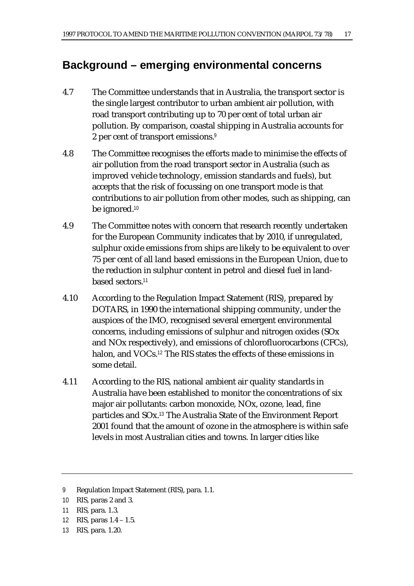# **Background – emerging environmental concerns**

- 4.7 The Committee understands that in Australia, the transport sector is the single largest contributor to urban ambient air pollution, with road transport contributing up to 70 per cent of total urban air pollution. By comparison, coastal shipping in Australia accounts for 2 per cent of transport emissions.<sup>9</sup>
- 4.8 The Committee recognises the efforts made to minimise the effects of air pollution from the road transport sector in Australia (such as improved vehicle technology, emission standards and fuels), but accepts that the risk of focussing on one transport mode is that contributions to air pollution from other modes, such as shipping, can be ignored.<sup>10</sup>
- 4.9 The Committee notes with concern that research recently undertaken for the European Community indicates that by 2010, if unregulated, sulphur oxide emissions from ships are likely to be equivalent to over 75 per cent of all land based emissions in the European Union, due to the reduction in sulphur content in petrol and diesel fuel in landbased sectors.<sup>11</sup>
- 4.10 According to the Regulation Impact Statement (RIS), prepared by DOTARS, in 1990 the international shipping community, under the auspices of the IMO, recognised several emergent environmental concerns, including emissions of sulphur and nitrogen oxides (SOx and NOx respectively), and emissions of chlorofluorocarbons (CFCs), halon, and VOCs.<sup>12</sup> The RIS states the effects of these emissions in some detail.
- 4.11 According to the RIS, national ambient air quality standards in Australia have been established to monitor the concentrations of six major air pollutants: carbon monoxide, NOx, ozone, lead, fine particles and SOx.<sup>13</sup> The Australia State of the Environment Report 2001 found that the amount of ozone in the atmosphere is within safe levels in most Australian cities and towns. In larger cities like

- 10 RIS, paras 2 and 3.
- 11 RIS, para. 1.3.
- 12 RIS, paras 1.4 1.5.
- 13 RIS, para. 1.20.

<sup>9</sup> Regulation Impact Statement (RIS), para. 1.1.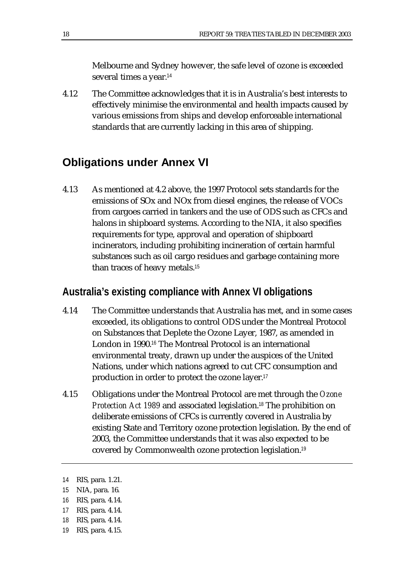Melbourne and Sydney however, the safe level of ozone is exceeded several times a year.<sup>14</sup>

4.12 The Committee acknowledges that it is in Australia's best interests to effectively minimise the environmental and health impacts caused by various emissions from ships and develop enforceable international standards that are currently lacking in this area of shipping.

# **Obligations under Annex VI**

4.13 As mentioned at 4.2 above, the 1997 Protocol sets standards for the emissions of SOx and NOx from diesel engines, the release of VOCs from cargoes carried in tankers and the use of ODS such as CFCs and halons in shipboard systems. According to the NIA, it also specifies requirements for type, approval and operation of shipboard incinerators, including prohibiting incineration of certain harmful substances such as oil cargo residues and garbage containing more than traces of heavy metals.<sup>15</sup>

#### **Australia's existing compliance with Annex VI obligations**

- 4.14 The Committee understands that Australia has met, and in some cases exceeded, its obligations to control ODS under the Montreal Protocol on Substances that Deplete the Ozone Layer, 1987, as amended in London in 1990.<sup>16</sup> The Montreal Protocol is an international environmental treaty, drawn up under the auspices of the United Nations, under which nations agreed to cut CFC consumption and production in order to protect the ozone layer.<sup>17</sup>
- 4.15 Obligations under the Montreal Protocol are met through the *Ozone Protection Act 1989* and associated legislation.<sup>18</sup> The prohibition on deliberate emissions of CFCs is currently covered in Australia by existing State and Territory ozone protection legislation. By the end of 2003, the Committee understands that it was also expected to be covered by Commonwealth ozone protection legislation.<sup>19</sup>

- 18 RIS, para. 4.14.
- 19 RIS, para. 4.15.

<sup>14</sup> RIS, para. 1.21.

<sup>15</sup> NIA, para. 16.

<sup>16</sup> RIS, para. 4.14.

<sup>17</sup> RIS, para. 4.14.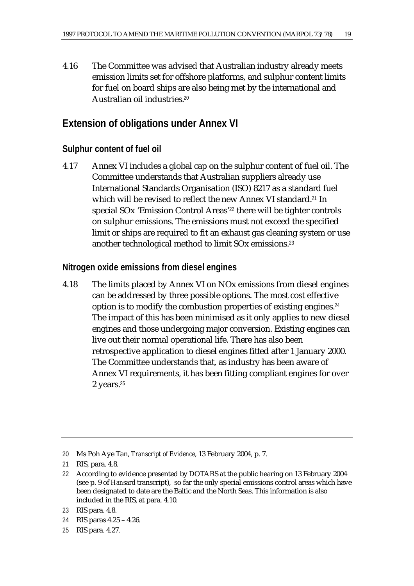4.16 The Committee was advised that Australian industry already meets emission limits set for offshore platforms, and sulphur content limits for fuel on board ships are also being met by the international and Australian oil industries.<sup>20</sup>

# **Extension of obligations under Annex VI**

#### **Sulphur content of fuel oil**

4.17 Annex VI includes a global cap on the sulphur content of fuel oil. The Committee understands that Australian suppliers already use International Standards Organisation (ISO) 8217 as a standard fuel which will be revised to reflect the new Annex VI standard.<sup>21</sup> In special SOx 'Emission Control Areas'<sup>22</sup> there will be tighter controls on sulphur emissions. The emissions must not exceed the specified limit or ships are required to fit an exhaust gas cleaning system or use another technological method to limit SOx emissions.<sup>23</sup>

#### **Nitrogen oxide emissions from diesel engines**

4.18 The limits placed by Annex VI on NOx emissions from diesel engines can be addressed by three possible options. The most cost effective option is to modify the combustion properties of existing engines.<sup>24</sup> The impact of this has been minimised as it only applies to new diesel engines and those undergoing major conversion. Existing engines can live out their normal operational life. There has also been retrospective application to diesel engines fitted after 1 January 2000. The Committee understands that, as industry has been aware of Annex VI requirements, it has been fitting compliant engines for over 2 years.<sup>25</sup>

24 RIS paras 4.25 – 4.26.

<sup>20</sup> Ms Poh Aye Tan, *Transcript of Evidence*, 13 February 2004, p. 7.

<sup>21</sup> RIS, para. 4.8.

<sup>22</sup> According to evidence presented by DOTARS at the public hearing on 13 February 2004 (see p. 9 of *Hansard* transcript), so far the only special emissions control areas which have been designated to date are the Baltic and the North Seas. This information is also included in the RIS, at para. 4.10.

<sup>23</sup> RIS para. 4.8.

<sup>25</sup> RIS para. 4.27.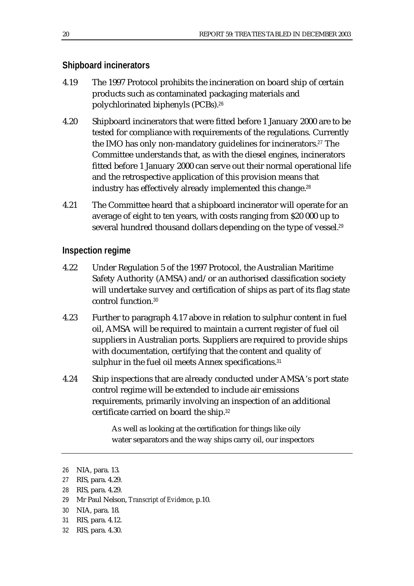#### **Shipboard incinerators**

- 4.19 The 1997 Protocol prohibits the incineration on board ship of certain products such as contaminated packaging materials and polychlorinated biphenyls (PCBs).<sup>26</sup>
- 4.20 Shipboard incinerators that were fitted before 1 January 2000 are to be tested for compliance with requirements of the regulations. Currently the IMO has only non-mandatory guidelines for incinerators.<sup>27</sup> The Committee understands that, as with the diesel engines, incinerators fitted before 1 January 2000 can serve out their normal operational life and the retrospective application of this provision means that industry has effectively already implemented this change.<sup>28</sup>
- 4.21 The Committee heard that a shipboard incinerator will operate for an average of eight to ten years, with costs ranging from \$20 000 up to several hundred thousand dollars depending on the type of vessel.<sup>29</sup>

#### **Inspection regime**

- 4.22 Under Regulation 5 of the 1997 Protocol, the Australian Maritime Safety Authority (AMSA) and/or an authorised classification society will undertake survey and certification of ships as part of its flag state control function.<sup>30</sup>
- 4.23 Further to paragraph 4.17 above in relation to sulphur content in fuel oil, AMSA will be required to maintain a current register of fuel oil suppliers in Australian ports. Suppliers are required to provide ships with documentation, certifying that the content and quality of sulphur in the fuel oil meets Annex specifications.<sup>31</sup>
- 4.24 Ship inspections that are already conducted under AMSA's port state control regime will be extended to include air emissions requirements, primarily involving an inspection of an additional certificate carried on board the ship.<sup>32</sup>

As well as looking at the certification for things like oily water separators and the way ships carry oil, our inspectors

- 28 RIS, para. 4.29.
- 29 Mr Paul Nelson, *Transcript of Evidence*, p.10.
- 30 NIA, para. 18.
- 31 RIS, para. 4.12.
- 32 RIS, para. 4.30.

<sup>26</sup> NIA, para. 13.

<sup>27</sup> RIS, para. 4.29.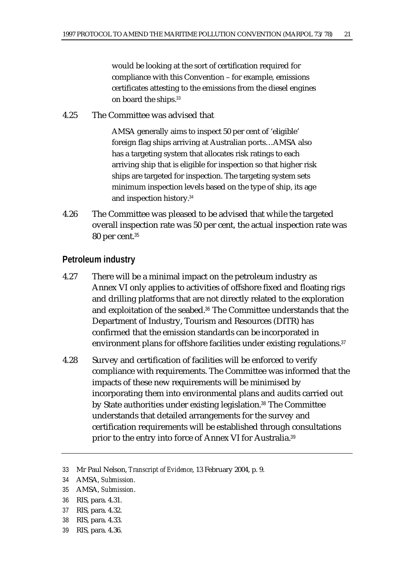would be looking at the sort of certification required for compliance with this Convention – for example, emissions certificates attesting to the emissions from the diesel engines on board the ships.<sup>33</sup>

4.25 The Committee was advised that

AMSA generally aims to inspect 50 per cent of 'eligible' foreign flag ships arriving at Australian ports…AMSA also has a targeting system that allocates risk ratings to each arriving ship that is eligible for inspection so that higher risk ships are targeted for inspection. The targeting system sets minimum inspection levels based on the type of ship, its age and inspection history.<sup>34</sup>

4.26 The Committee was pleased to be advised that while the targeted overall inspection rate was 50 per cent, the actual inspection rate was 80 per cent.<sup>35</sup>

#### **Petroleum industry**

- 4.27 There will be a minimal impact on the petroleum industry as Annex VI only applies to activities of offshore fixed and floating rigs and drilling platforms that are not directly related to the exploration and exploitation of the seabed.<sup>36</sup> The Committee understands that the Department of Industry, Tourism and Resources (DITR) has confirmed that the emission standards can be incorporated in environment plans for offshore facilities under existing regulations.<sup>37</sup>
- 4.28 Survey and certification of facilities will be enforced to verify compliance with requirements. The Committee was informed that the impacts of these new requirements will be minimised by incorporating them into environmental plans and audits carried out by State authorities under existing legislation.<sup>38</sup> The Committee understands that detailed arrangements for the survey and certification requirements will be established through consultations prior to the entry into force of Annex VI for Australia.<sup>39</sup>

- 36 RIS, para. 4.31.
- 37 RIS, para. 4.32.
- 38 RIS, para. 4.33.
- 39 RIS, para. 4.36.

<sup>33</sup> Mr Paul Nelson, *Transcript of Evidence*, 13 February 2004, p. 9.

<sup>34</sup> AMSA, *Submission.* 

<sup>35</sup> AMSA, *Submission*.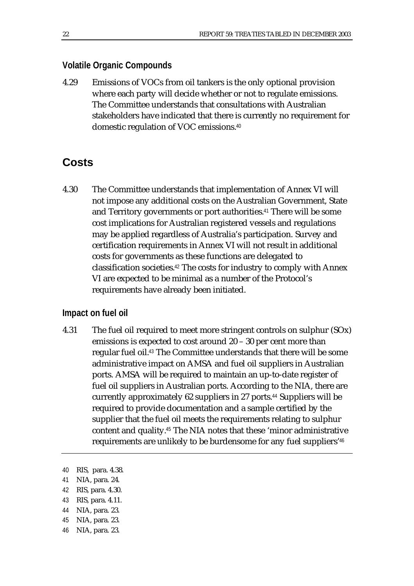#### **Volatile Organic Compounds**

4.29 Emissions of VOCs from oil tankers is the only optional provision where each party will decide whether or not to regulate emissions. The Committee understands that consultations with Australian stakeholders have indicated that there is currently no requirement for domestic regulation of VOC emissions.<sup>40</sup>

## **Costs**

4.30 The Committee understands that implementation of Annex VI will not impose any additional costs on the Australian Government, State and Territory governments or port authorities.<sup>41</sup> There will be some cost implications for Australian registered vessels and regulations may be applied regardless of Australia's participation. Survey and certification requirements in Annex VI will not result in additional costs for governments as these functions are delegated to classification societies.<sup>42</sup> The costs for industry to comply with Annex VI are expected to be minimal as a number of the Protocol's requirements have already been initiated.

#### **Impact on fuel oil**

4.31 The fuel oil required to meet more stringent controls on sulphur (SOx) emissions is expected to cost around 20 – 30 per cent more than regular fuel oil.<sup>43</sup> The Committee understands that there will be some administrative impact on AMSA and fuel oil suppliers in Australian ports. AMSA will be required to maintain an up-to-date register of fuel oil suppliers in Australian ports. According to the NIA, there are currently approximately 62 suppliers in 27 ports.<sup>44</sup> Suppliers will be required to provide documentation and a sample certified by the supplier that the fuel oil meets the requirements relating to sulphur content and quality.<sup>45</sup> The NIA notes that these 'minor administrative requirements are unlikely to be burdensome for any fuel suppliers'<sup>46</sup>

- 42 RIS, para. 4.30.
- 43 RIS, para. 4.11.
- 44 NIA, para. 23.
- 45 NIA, para. 23.
- 46 NIA, para. 23.

<sup>40</sup> RIS, para. 4.38.

<sup>41</sup> NIA, para. 24.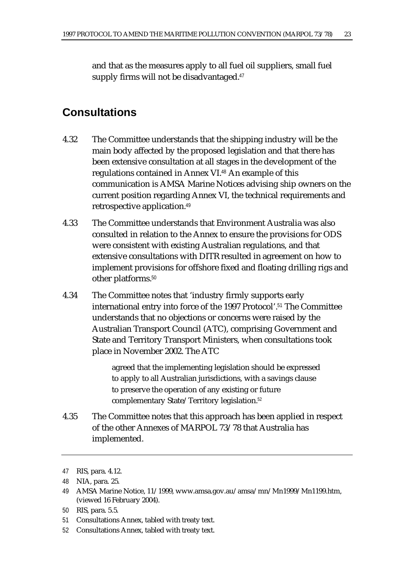and that as the measures apply to all fuel oil suppliers, small fuel supply firms will not be disadvantaged.<sup>47</sup>

# **Consultations**

- 4.32 The Committee understands that the shipping industry will be the main body affected by the proposed legislation and that there has been extensive consultation at all stages in the development of the regulations contained in Annex VI.<sup>48</sup> An example of this communication is AMSA Marine Notices advising ship owners on the current position regarding Annex VI, the technical requirements and retrospective application.<sup>49</sup>
- 4.33 The Committee understands that Environment Australia was also consulted in relation to the Annex to ensure the provisions for ODS were consistent with existing Australian regulations, and that extensive consultations with DITR resulted in agreement on how to implement provisions for offshore fixed and floating drilling rigs and other platforms.<sup>50</sup>
- 4.34 The Committee notes that 'industry firmly supports early international entry into force of the 1997 Protocol'.<sup>51</sup> The Committee understands that no objections or concerns were raised by the Australian Transport Council (ATC), comprising Government and State and Territory Transport Ministers, when consultations took place in November 2002. The ATC

agreed that the implementing legislation should be expressed to apply to all Australian jurisdictions, with a savings clause to preserve the operation of any existing or future complementary State/Territory legislation.<sup>52</sup>

4.35 The Committee notes that this approach has been applied in respect of the other Annexes of MARPOL 73/78 that Australia has implemented.

- 51 Consultations Annex, tabled with treaty text.
- 52 Consultations Annex, tabled with treaty text.

<sup>47</sup> RIS, para. 4.12.

<sup>48</sup> NIA, para. 25.

<sup>49</sup> AMSA Marine Notice, 11/1999, www.amsa.gov.au/amsa/mn/Mn1999/Mn1199.htm, (viewed 16 February 2004).

<sup>50</sup> RIS, para. 5.5.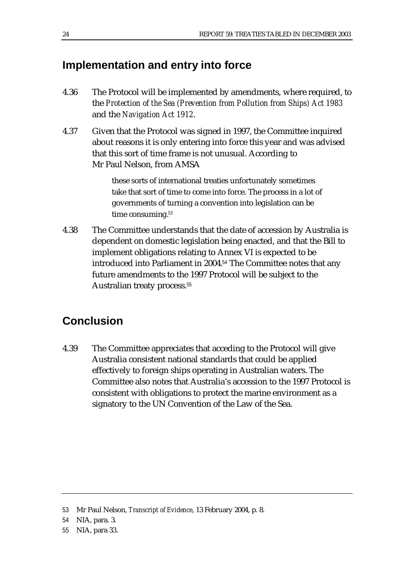# **Implementation and entry into force**

- 4.36 The Protocol will be implemented by amendments, where required, to the *Protection of the Sea (Prevention from Pollution from Ships) Act 1983* and the *Navigation Act 1912*.
- 4.37 Given that the Protocol was signed in 1997, the Committee inquired about reasons it is only entering into force this year and was advised that this sort of time frame is not unusual. According to Mr Paul Nelson, from AMSA

these sorts of international treaties unfortunately sometimes take that sort of time to come into force. The process in a lot of governments of turning a convention into legislation can be time consuming.<sup>53</sup>

4.38 The Committee understands that the date of accession by Australia is dependent on domestic legislation being enacted, and that the Bill to implement obligations relating to Annex VI is expected to be introduced into Parliament in 2004.<sup>54</sup> The Committee notes that any future amendments to the 1997 Protocol will be subject to the Australian treaty process.<sup>55</sup>

# **Conclusion**

4.39 The Committee appreciates that acceding to the Protocol will give Australia consistent national standards that could be applied effectively to foreign ships operating in Australian waters. The Committee also notes that Australia's accession to the 1997 Protocol is consistent with obligations to protect the marine environment as a signatory to the UN Convention of the Law of the Sea.

<sup>53</sup> Mr Paul Nelson, *Transcript of Evidence*, 13 February 2004, p. 8.

<sup>54</sup> NIA, para. 3.

<sup>55</sup> NIA, para 33.